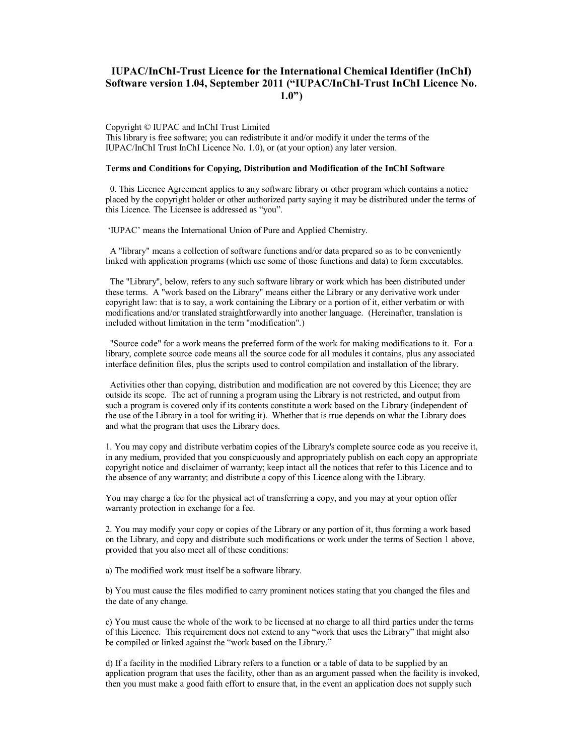# **IUPAC/InChI-Trust Licence for the International Chemical Identifier (InChI) Software version 1.04, September 2011 ("IUPAC/InChI-Trust InChI Licence No. 1.0")**

Copyright © IUPAC and InChI Trust Limited This library is free software; you can redistribute it and/or modify it under the terms of the IUPAC/InChI Trust InChI Licence No. 1.0), or (at your option) any later version.

#### **Terms and Conditions for Copying, Distribution and Modification of the InChI Software**

 0. This Licence Agreement applies to any software library or other program which contains a notice placed by the copyright holder or other authorized party saying it may be distributed under the terms of this Licence. The Licensee is addressed as "you".

'IUPAC' means the International Union of Pure and Applied Chemistry.

 A "library" means a collection of software functions and/or data prepared so as to be conveniently linked with application programs (which use some of those functions and data) to form executables.

 The "Library", below, refers to any such software library or work which has been distributed under these terms. A "work based on the Library" means either the Library or any derivative work under copyright law: that is to say, a work containing the Library or a portion of it, either verbatim or with modifications and/or translated straightforwardly into another language. (Hereinafter, translation is included without limitation in the term "modification".)

 "Source code" for a work means the preferred form of the work for making modifications to it. For a library, complete source code means all the source code for all modules it contains, plus any associated interface definition files, plus the scripts used to control compilation and installation of the library.

 Activities other than copying, distribution and modification are not covered by this Licence; they are outside its scope. The act of running a program using the Library is not restricted, and output from such a program is covered only if its contents constitute a work based on the Library (independent of the use of the Library in a tool for writing it). Whether that is true depends on what the Library does and what the program that uses the Library does.

1. You may copy and distribute verbatim copies of the Library's complete source code as you receive it, in any medium, provided that you conspicuously and appropriately publish on each copy an appropriate copyright notice and disclaimer of warranty; keep intact all the notices that refer to this Licence and to the absence of any warranty; and distribute a copy of this Licence along with the Library.

You may charge a fee for the physical act of transferring a copy, and you may at your option offer warranty protection in exchange for a fee.

2. You may modify your copy or copies of the Library or any portion of it, thus forming a work based on the Library, and copy and distribute such modifications or work under the terms of Section 1 above, provided that you also meet all of these conditions:

a) The modified work must itself be a software library.

b) You must cause the files modified to carry prominent notices stating that you changed the files and the date of any change.

c) You must cause the whole of the work to be licensed at no charge to all third parties under the terms of this Licence. This requirement does not extend to any "work that uses the Library" that might also be compiled or linked against the "work based on the Library."

d) If a facility in the modified Library refers to a function or a table of data to be supplied by an application program that uses the facility, other than as an argument passed when the facility is invoked, then you must make a good faith effort to ensure that, in the event an application does not supply such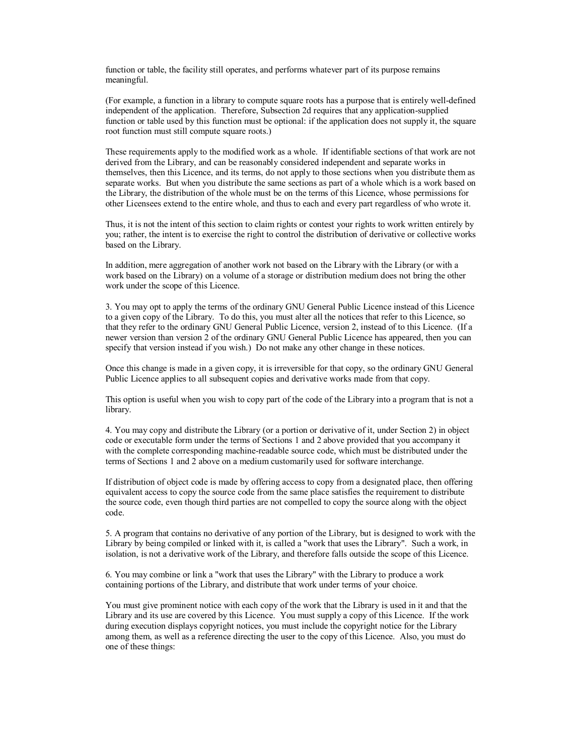function or table, the facility still operates, and performs whatever part of its purpose remains meaningful.

(For example, a function in a library to compute square roots has a purpose that is entirely well-defined independent of the application. Therefore, Subsection 2d requires that any application-supplied function or table used by this function must be optional: if the application does not supply it, the square root function must still compute square roots.)

These requirements apply to the modified work as a whole. If identifiable sections of that work are not derived from the Library, and can be reasonably considered independent and separate works in themselves, then this Licence, and its terms, do not apply to those sections when you distribute them as separate works. But when you distribute the same sections as part of a whole which is a work based on the Library, the distribution of the whole must be on the terms of this Licence, whose permissions for other Licensees extend to the entire whole, and thus to each and every part regardless of who wrote it.

Thus, it is not the intent of this section to claim rights or contest your rights to work written entirely by you; rather, the intent is to exercise the right to control the distribution of derivative or collective works based on the Library.

In addition, mere aggregation of another work not based on the Library with the Library (or with a work based on the Library) on a volume of a storage or distribution medium does not bring the other work under the scope of this Licence.

3. You may opt to apply the terms of the ordinary GNU General Public Licence instead of this Licence to a given copy of the Library. To do this, you must alter all the notices that refer to this Licence, so that they refer to the ordinary GNU General Public Licence, version 2, instead of to this Licence. (If a newer version than version 2 of the ordinary GNU General Public Licence has appeared, then you can specify that version instead if you wish.) Do not make any other change in these notices.

Once this change is made in a given copy, it is irreversible for that copy, so the ordinary GNU General Public Licence applies to all subsequent copies and derivative works made from that copy.

This option is useful when you wish to copy part of the code of the Library into a program that is not a library.

4. You may copy and distribute the Library (or a portion or derivative of it, under Section 2) in object code or executable form under the terms of Sections 1 and 2 above provided that you accompany it with the complete corresponding machine-readable source code, which must be distributed under the terms of Sections 1 and 2 above on a medium customarily used for software interchange.

If distribution of object code is made by offering access to copy from a designated place, then offering equivalent access to copy the source code from the same place satisfies the requirement to distribute the source code, even though third parties are not compelled to copy the source along with the object code.

5. A program that contains no derivative of any portion of the Library, but is designed to work with the Library by being compiled or linked with it, is called a "work that uses the Library". Such a work, in isolation, is not a derivative work of the Library, and therefore falls outside the scope of this Licence.

6. You may combine or link a "work that uses the Library" with the Library to produce a work containing portions of the Library, and distribute that work under terms of your choice.

You must give prominent notice with each copy of the work that the Library is used in it and that the Library and its use are covered by this Licence. You must supply a copy of this Licence. If the work during execution displays copyright notices, you must include the copyright notice for the Library among them, as well as a reference directing the user to the copy of this Licence. Also, you must do one of these things: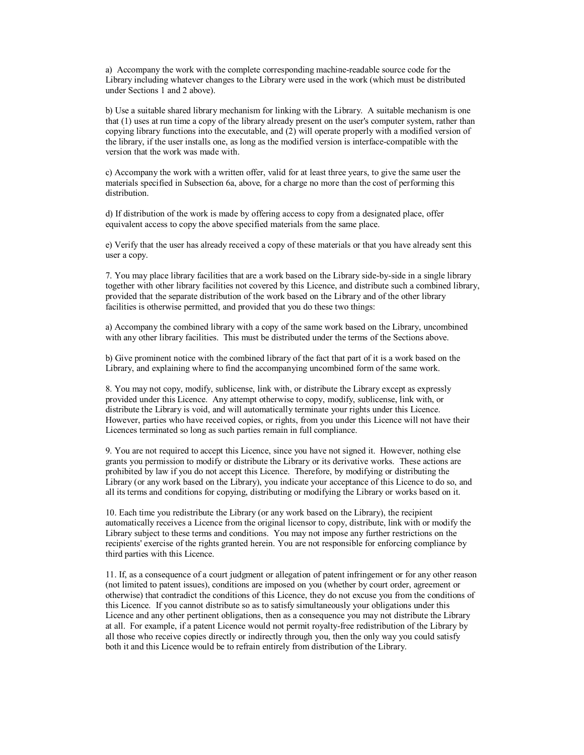a) Accompany the work with the complete corresponding machine-readable source code for the Library including whatever changes to the Library were used in the work (which must be distributed under Sections 1 and 2 above).

b) Use a suitable shared library mechanism for linking with the Library. A suitable mechanism is one that (1) uses at run time a copy of the library already present on the user's computer system, rather than copying library functions into the executable, and (2) will operate properly with a modified version of the library, if the user installs one, as long as the modified version is interface-compatible with the version that the work was made with.

c) Accompany the work with a written offer, valid for at least three years, to give the same user the materials specified in Subsection 6a, above, for a charge no more than the cost of performing this distribution.

d) If distribution of the work is made by offering access to copy from a designated place, offer equivalent access to copy the above specified materials from the same place.

e) Verify that the user has already received a copy of these materials or that you have already sent this user a copy.

7. You may place library facilities that are a work based on the Library side-by-side in a single library together with other library facilities not covered by this Licence, and distribute such a combined library, provided that the separate distribution of the work based on the Library and of the other library facilities is otherwise permitted, and provided that you do these two things:

a) Accompany the combined library with a copy of the same work based on the Library, uncombined with any other library facilities. This must be distributed under the terms of the Sections above.

b) Give prominent notice with the combined library of the fact that part of it is a work based on the Library, and explaining where to find the accompanying uncombined form of the same work.

8. You may not copy, modify, sublicense, link with, or distribute the Library except as expressly provided under this Licence. Any attempt otherwise to copy, modify, sublicense, link with, or distribute the Library is void, and will automatically terminate your rights under this Licence. However, parties who have received copies, or rights, from you under this Licence will not have their Licences terminated so long as such parties remain in full compliance.

9. You are not required to accept this Licence, since you have not signed it. However, nothing else grants you permission to modify or distribute the Library or its derivative works. These actions are prohibited by law if you do not accept this Licence. Therefore, by modifying or distributing the Library (or any work based on the Library), you indicate your acceptance of this Licence to do so, and all its terms and conditions for copying, distributing or modifying the Library or works based on it.

10. Each time you redistribute the Library (or any work based on the Library), the recipient automatically receives a Licence from the original licensor to copy, distribute, link with or modify the Library subject to these terms and conditions. You may not impose any further restrictions on the recipients' exercise of the rights granted herein. You are not responsible for enforcing compliance by third parties with this Licence.

11. If, as a consequence of a court judgment or allegation of patent infringement or for any other reason (not limited to patent issues), conditions are imposed on you (whether by court order, agreement or otherwise) that contradict the conditions of this Licence, they do not excuse you from the conditions of this Licence. If you cannot distribute so as to satisfy simultaneously your obligations under this Licence and any other pertinent obligations, then as a consequence you may not distribute the Library at all. For example, if a patent Licence would not permit royalty-free redistribution of the Library by all those who receive copies directly or indirectly through you, then the only way you could satisfy both it and this Licence would be to refrain entirely from distribution of the Library.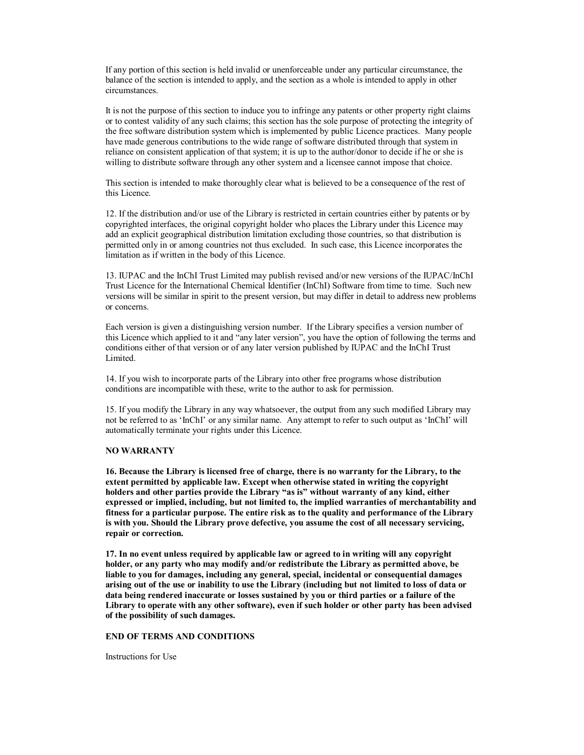If any portion of this section is held invalid or unenforceable under any particular circumstance, the balance of the section is intended to apply, and the section as a whole is intended to apply in other circumstances.

It is not the purpose of this section to induce you to infringe any patents or other property right claims or to contest validity of any such claims; this section has the sole purpose of protecting the integrity of the free software distribution system which is implemented by public Licence practices. Many people have made generous contributions to the wide range of software distributed through that system in reliance on consistent application of that system; it is up to the author/donor to decide if he or she is willing to distribute software through any other system and a licensee cannot impose that choice.

This section is intended to make thoroughly clear what is believed to be a consequence of the rest of this Licence.

12. If the distribution and/or use of the Library is restricted in certain countries either by patents or by copyrighted interfaces, the original copyright holder who places the Library under this Licence may add an explicit geographical distribution limitation excluding those countries, so that distribution is permitted only in or among countries not thus excluded. In such case, this Licence incorporates the limitation as if written in the body of this Licence.

13. IUPAC and the InChI Trust Limited may publish revised and/or new versions of the IUPAC/InChI Trust Licence for the International Chemical Identifier (InChI) Software from time to time. Such new versions will be similar in spirit to the present version, but may differ in detail to address new problems or concerns.

Each version is given a distinguishing version number. If the Library specifies a version number of this Licence which applied to it and "any later version", you have the option of following the terms and conditions either of that version or of any later version published by IUPAC and the InChI Trust Limited.

14. If you wish to incorporate parts of the Library into other free programs whose distribution conditions are incompatible with these, write to the author to ask for permission.

15. If you modify the Library in any way whatsoever, the output from any such modified Library may not be referred to as 'InChI' or any similar name. Any attempt to refer to such output as 'InChI' will automatically terminate your rights under this Licence.

### **NO WARRANTY**

**16. Because the Library is licensed free of charge, there is no warranty for the Library, to the extent permitted by applicable law. Except when otherwise stated in writing the copyright holders and other parties provide the Library "as is" without warranty of any kind, either expressed or implied, including, but not limited to, the implied warranties of merchantability and fitness for a particular purpose. The entire risk as to the quality and performance of the Library is with you. Should the Library prove defective, you assume the cost of all necessary servicing, repair or correction.**

**17. In no event unless required by applicable law or agreed to in writing will any copyright holder, or any party who may modify and/or redistribute the Library as permitted above, be liable to you for damages, including any general, special, incidental or consequential damages arising out of the use or inability to use the Library (including but not limited to loss of data or data being rendered inaccurate or losses sustained by you or third parties or a failure of the Library to operate with any other software), even if such holder or other party has been advised of the possibility of such damages.**

#### **END OF TERMS AND CONDITIONS**

Instructions for Use